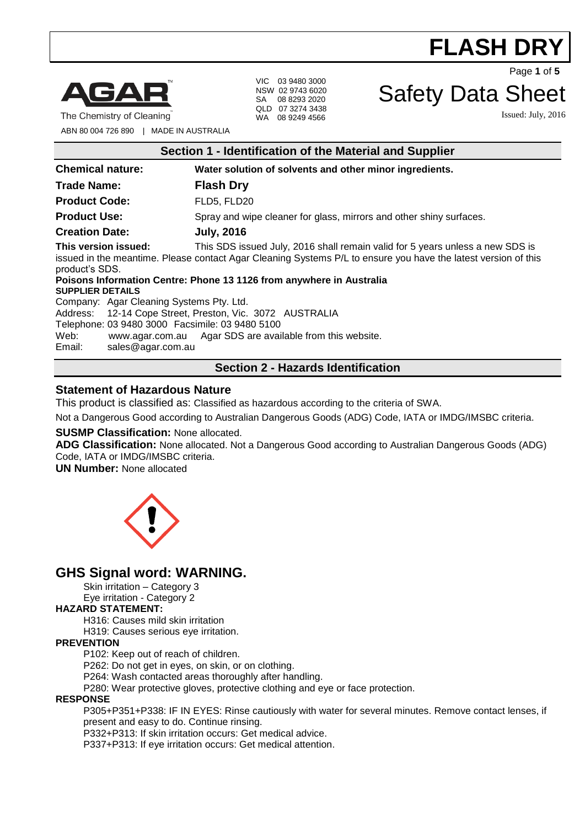

The Chemistry of Cleaning

VIC 03 9480 3000 NSW 02 9743 6020 SA 08 8293 2020 QLD 07 3274 3438 WA 08 9249 4566

Safety Data Sheet

Page **1** of **5**

Issued: July, 2016

ABN 80 004 726 890 | MADE IN AUSTRALIA

| Section 1 - Identification of the Material and Supplier                                                                                                                                                                                   |                                                                     |
|-------------------------------------------------------------------------------------------------------------------------------------------------------------------------------------------------------------------------------------------|---------------------------------------------------------------------|
| <b>Chemical nature:</b>                                                                                                                                                                                                                   | Water solution of solvents and other minor ingredients.             |
| <b>Trade Name:</b>                                                                                                                                                                                                                        | <b>Flash Dry</b>                                                    |
| <b>Product Code:</b>                                                                                                                                                                                                                      | FLD5, FLD20                                                         |
| <b>Product Use:</b>                                                                                                                                                                                                                       | Spray and wipe cleaner for glass, mirrors and other shiny surfaces. |
| <b>Creation Date:</b>                                                                                                                                                                                                                     | <b>July, 2016</b>                                                   |
| This version issued:<br>This SDS issued July, 2016 shall remain valid for 5 years unless a new SDS is<br>issued in the meantime. Please contact Agar Cleaning Systems P/L to ensure you have the latest version of this<br>product's SDS. |                                                                     |
| Poisons Information Centre: Phone 13 1126 from anywhere in Australia<br><b>SUPPLIER DETAILS</b><br>Company: Agar Cleaning Systems Pty. Ltd.                                                                                               |                                                                     |
| Address: 12-14 Cope Street, Preston, Vic. 3072 AUSTRALIA<br>Telephone: 03 9480 3000 Facsimile: 03 9480 5100<br>Web:<br>www.agar.com.au Agar SDS are available from this website.<br>Email:<br>sales@agar.com.au                           |                                                                     |
| <b>Section 2 - Hazards Identification</b>                                                                                                                                                                                                 |                                                                     |

### **Statement of Hazardous Nature**

This product is classified as: Classified as hazardous according to the criteria of SWA.

Not a Dangerous Good according to Australian Dangerous Goods (ADG) Code, IATA or IMDG/IMSBC criteria.

#### **SUSMP Classification:** None allocated.

**ADG Classification:** None allocated. Not a Dangerous Good according to Australian Dangerous Goods (ADG) Code, IATA or IMDG/IMSBC criteria.

**UN Number:** None allocated



## **GHS Signal word: WARNING.**

Skin irritation – Category 3

Eye irritation - Category 2

## **HAZARD STATEMENT:**

H316: Causes mild skin irritation

H319: Causes serious eye irritation.

#### **PREVENTION**

P102: Keep out of reach of children.

P262: Do not get in eyes, on skin, or on clothing.

P264: Wash contacted areas thoroughly after handling.

P280: Wear protective gloves, protective clothing and eye or face protection.

#### **RESPONSE**

P305+P351+P338: IF IN EYES: Rinse cautiously with water for several minutes. Remove contact lenses, if present and easy to do. Continue rinsing.

P332+P313: If skin irritation occurs: Get medical advice.

P337+P313: If eye irritation occurs: Get medical attention.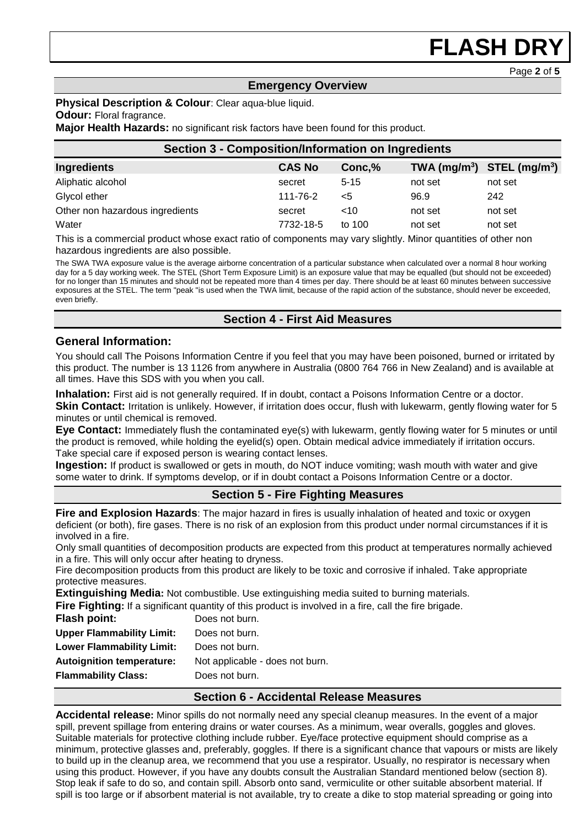Page **2** of **5**

## **Emergency Overview**

#### **Physical Description & Colour**: Clear aqua-blue liquid.

#### **Odour:** Floral fragrance.

**Major Health Hazards:** no significant risk factors have been found for this product.

| <b>Section 3 - Composition/Information on Ingredients</b> |               |          |         |                                |
|-----------------------------------------------------------|---------------|----------|---------|--------------------------------|
| <b>Ingredients</b>                                        | <b>CAS No</b> | Conc, %  |         | TWA $(mg/m^3)$ STEL $(mg/m^3)$ |
| Aliphatic alcohol                                         | secret        | $5 - 15$ | not set | not set                        |
| Glycol ether                                              | 111-76-2      | $<$ 5    | 96.9    | 242                            |
| Other non hazardous ingredients                           | secret        | ~10      | not set | not set                        |
| Water                                                     | 7732-18-5     | to 100   | not set | not set                        |

This is a commercial product whose exact ratio of components may vary slightly. Minor quantities of other non hazardous ingredients are also possible.

The SWA TWA exposure value is the average airborne concentration of a particular substance when calculated over a normal 8 hour working day for a 5 day working week. The STEL (Short Term Exposure Limit) is an exposure value that may be equalled (but should not be exceeded) for no longer than 15 minutes and should not be repeated more than 4 times per day. There should be at least 60 minutes between successive exposures at the STEL. The term "peak "is used when the TWA limit, because of the rapid action of the substance, should never be exceeded, even briefly.

## **Section 4 - First Aid Measures**

## **General Information:**

You should call The Poisons Information Centre if you feel that you may have been poisoned, burned or irritated by this product. The number is 13 1126 from anywhere in Australia (0800 764 766 in New Zealand) and is available at all times. Have this SDS with you when you call.

**Inhalation:** First aid is not generally required. If in doubt, contact a Poisons Information Centre or a doctor.

**Skin Contact:** Irritation is unlikely. However, if irritation does occur, flush with lukewarm, gently flowing water for 5 minutes or until chemical is removed.

**Eye Contact:** Immediately flush the contaminated eye(s) with lukewarm, gently flowing water for 5 minutes or until the product is removed, while holding the eyelid(s) open. Obtain medical advice immediately if irritation occurs. Take special care if exposed person is wearing contact lenses.

**Ingestion:** If product is swallowed or gets in mouth, do NOT induce vomiting; wash mouth with water and give some water to drink. If symptoms develop, or if in doubt contact a Poisons Information Centre or a doctor.

## **Section 5 - Fire Fighting Measures**

**Fire and Explosion Hazards**: The major hazard in fires is usually inhalation of heated and toxic or oxygen deficient (or both), fire gases. There is no risk of an explosion from this product under normal circumstances if it is involved in a fire.

Only small quantities of decomposition products are expected from this product at temperatures normally achieved in a fire. This will only occur after heating to dryness.

Fire decomposition products from this product are likely to be toxic and corrosive if inhaled. Take appropriate protective measures.

**Extinguishing Media:** Not combustible. Use extinguishing media suited to burning materials.

**Fire Fighting:** If a significant quantity of this product is involved in a fire, call the fire brigade.

| Flash point:                     | Does not burn.                  |
|----------------------------------|---------------------------------|
| <b>Upper Flammability Limit:</b> | Does not burn.                  |
| <b>Lower Flammability Limit:</b> | Does not burn.                  |
| <b>Autoignition temperature:</b> | Not applicable - does not burn. |
| <b>Flammability Class:</b>       | Does not burn.                  |
|                                  |                                 |

### **Section 6 - Accidental Release Measures**

**Accidental release:** Minor spills do not normally need any special cleanup measures. In the event of a major spill, prevent spillage from entering drains or water courses. As a minimum, wear overalls, goggles and gloves. Suitable materials for protective clothing include rubber. Eye/face protective equipment should comprise as a minimum, protective glasses and, preferably, goggles. If there is a significant chance that vapours or mists are likely to build up in the cleanup area, we recommend that you use a respirator. Usually, no respirator is necessary when using this product. However, if you have any doubts consult the Australian Standard mentioned below (section 8). Stop leak if safe to do so, and contain spill. Absorb onto sand, vermiculite or other suitable absorbent material. If spill is too large or if absorbent material is not available, try to create a dike to stop material spreading or going into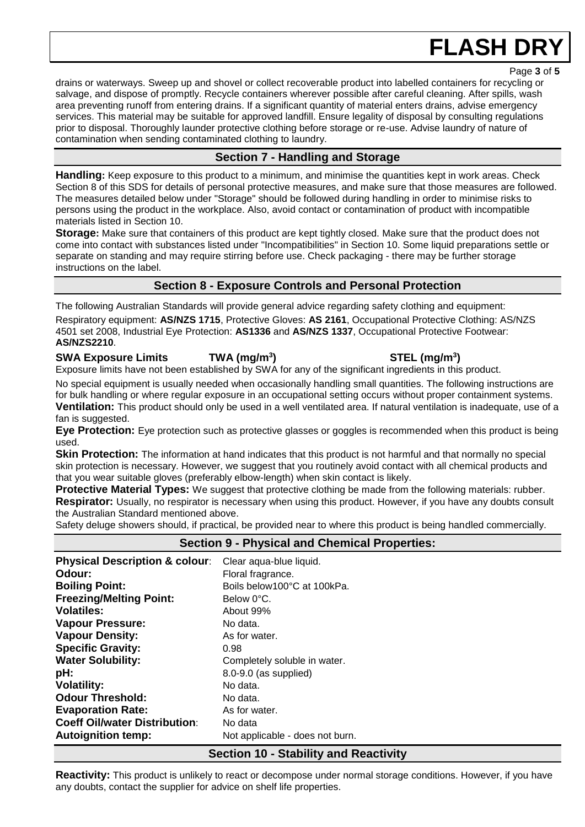Page **3** of **5**

drains or waterways. Sweep up and shovel or collect recoverable product into labelled containers for recycling or salvage, and dispose of promptly. Recycle containers wherever possible after careful cleaning. After spills, wash area preventing runoff from entering drains. If a significant quantity of material enters drains, advise emergency services. This material may be suitable for approved landfill. Ensure legality of disposal by consulting regulations prior to disposal. Thoroughly launder protective clothing before storage or re-use. Advise laundry of nature of contamination when sending contaminated clothing to laundry.

# **Section 7 - Handling and Storage**

**Handling:** Keep exposure to this product to a minimum, and minimise the quantities kept in work areas. Check Section 8 of this SDS for details of personal protective measures, and make sure that those measures are followed. The measures detailed below under "Storage" should be followed during handling in order to minimise risks to persons using the product in the workplace. Also, avoid contact or contamination of product with incompatible materials listed in Section 10.

**Storage:** Make sure that containers of this product are kept tightly closed. Make sure that the product does not come into contact with substances listed under "Incompatibilities" in Section 10. Some liquid preparations settle or separate on standing and may require stirring before use. Check packaging - there may be further storage instructions on the label.

## **Section 8 - Exposure Controls and Personal Protection**

The following Australian Standards will provide general advice regarding safety clothing and equipment: Respiratory equipment: **AS/NZS 1715**, Protective Gloves: **AS 2161**, Occupational Protective Clothing: AS/NZS 4501 set 2008, Industrial Eye Protection: **AS1336** and **AS/NZS 1337**, Occupational Protective Footwear: **AS/NZS2210**.

# **SWA Exposure Limits TWA (mg/m<sup>3</sup>**

Exposure limits have not been established by SWA for any of the significant ingredients in this product.

No special equipment is usually needed when occasionally handling small quantities. The following instructions are for bulk handling or where regular exposure in an occupational setting occurs without proper containment systems. **Ventilation:** This product should only be used in a well ventilated area. If natural ventilation is inadequate, use of a fan is suggested.

**Eye Protection:** Eye protection such as protective glasses or goggles is recommended when this product is being used.

**Skin Protection:** The information at hand indicates that this product is not harmful and that normally no special skin protection is necessary. However, we suggest that you routinely avoid contact with all chemical products and that you wear suitable gloves (preferably elbow-length) when skin contact is likely.

**Protective Material Types:** We suggest that protective clothing be made from the following materials: rubber. **Respirator:** Usually, no respirator is necessary when using this product. However, if you have any doubts consult the Australian Standard mentioned above.

Safety deluge showers should, if practical, be provided near to where this product is being handled commercially.

| <b>Section 9 - Physical and Chemical Properties:</b> |                                 |
|------------------------------------------------------|---------------------------------|
| <b>Physical Description &amp; colour:</b>            | Clear aqua-blue liquid.         |
| Odour:                                               | Floral fragrance.               |
| <b>Boiling Point:</b>                                | Boils below100°C at 100kPa.     |
| <b>Freezing/Melting Point:</b>                       | Below 0°C.                      |
| <b>Volatiles:</b>                                    | About 99%                       |
| <b>Vapour Pressure:</b>                              | No data.                        |
| <b>Vapour Density:</b>                               | As for water.                   |
| <b>Specific Gravity:</b>                             | 0.98                            |
| <b>Water Solubility:</b>                             | Completely soluble in water.    |
| pH:                                                  | 8.0-9.0 (as supplied)           |
| <b>Volatility:</b>                                   | No data.                        |
| <b>Odour Threshold:</b>                              | No data.                        |
| <b>Evaporation Rate:</b>                             | As for water.                   |
| <b>Coeff Oil/water Distribution:</b>                 | No data                         |
| <b>Autoignition temp:</b>                            | Not applicable - does not burn. |
| <b>Section 10 - Stability and Reactivity</b>         |                                 |

**Reactivity:** This product is unlikely to react or decompose under normal storage conditions. However, if you have any doubts, contact the supplier for advice on shelf life properties.

# **) STEL (mg/m<sup>3</sup> )**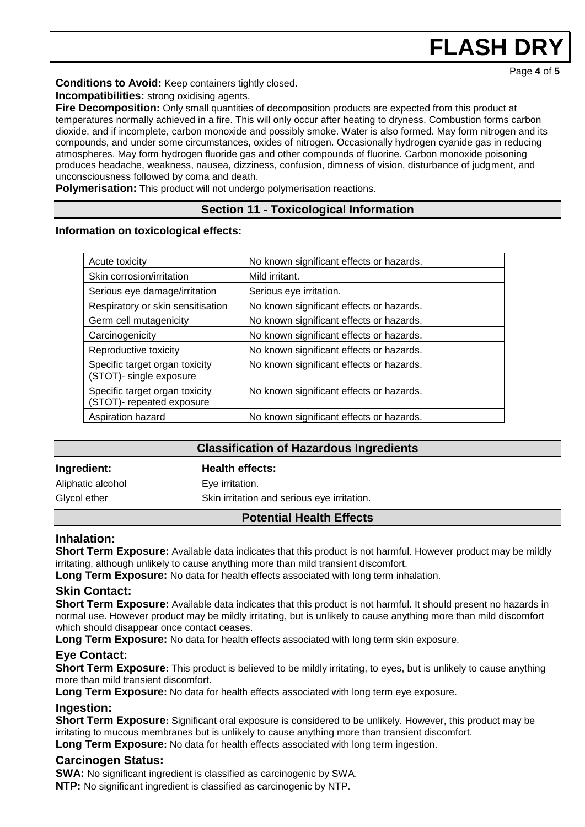**Conditions to Avoid:** Keep containers tightly closed.

**Incompatibilities:** strong oxidising agents.

**Fire Decomposition:** Only small quantities of decomposition products are expected from this product at temperatures normally achieved in a fire. This will only occur after heating to dryness. Combustion forms carbon dioxide, and if incomplete, carbon monoxide and possibly smoke. Water is also formed. May form nitrogen and its compounds, and under some circumstances, oxides of nitrogen. Occasionally hydrogen cyanide gas in reducing atmospheres. May form hydrogen fluoride gas and other compounds of fluorine. Carbon monoxide poisoning produces headache, weakness, nausea, dizziness, confusion, dimness of vision, disturbance of judgment, and unconsciousness followed by coma and death.

**Polymerisation:** This product will not undergo polymerisation reactions.

## **Section 11 - Toxicological Information**

**Information on toxicological effects:** 

| Acute toxicity                                              | No known significant effects or hazards. |
|-------------------------------------------------------------|------------------------------------------|
| Skin corrosion/irritation                                   | Mild irritant.                           |
| Serious eye damage/irritation                               | Serious eye irritation.                  |
| Respiratory or skin sensitisation                           | No known significant effects or hazards. |
| Germ cell mutagenicity                                      | No known significant effects or hazards. |
| Carcinogenicity                                             | No known significant effects or hazards. |
| Reproductive toxicity                                       | No known significant effects or hazards. |
| Specific target organ toxicity<br>(STOT)- single exposure   | No known significant effects or hazards. |
| Specific target organ toxicity<br>(STOT)- repeated exposure | No known significant effects or hazards. |
| Aspiration hazard                                           | No known significant effects or hazards. |

## **Classification of Hazardous Ingredients**

## **Ingredient: Health effects:**

Aliphatic alcohol **Eye** irritation.

Glycol ether Skin irritation and serious eye irritation.

## **Potential Health Effects**

### **Inhalation:**

**Short Term Exposure:** Available data indicates that this product is not harmful. However product may be mildly irritating, although unlikely to cause anything more than mild transient discomfort.

**Long Term Exposure:** No data for health effects associated with long term inhalation.

## **Skin Contact:**

**Short Term Exposure:** Available data indicates that this product is not harmful. It should present no hazards in normal use. However product may be mildly irritating, but is unlikely to cause anything more than mild discomfort which should disappear once contact ceases.

**Long Term Exposure:** No data for health effects associated with long term skin exposure.

## **Eye Contact:**

**Short Term Exposure:** This product is believed to be mildly irritating, to eyes, but is unlikely to cause anything more than mild transient discomfort.

**Long Term Exposure:** No data for health effects associated with long term eye exposure.

## **Ingestion:**

**Short Term Exposure:** Significant oral exposure is considered to be unlikely. However, this product may be irritating to mucous membranes but is unlikely to cause anything more than transient discomfort.

**Long Term Exposure:** No data for health effects associated with long term ingestion.

## **Carcinogen Status:**

**SWA:** No significant ingredient is classified as carcinogenic by SWA. **NTP:** No significant ingredient is classified as carcinogenic by NTP.